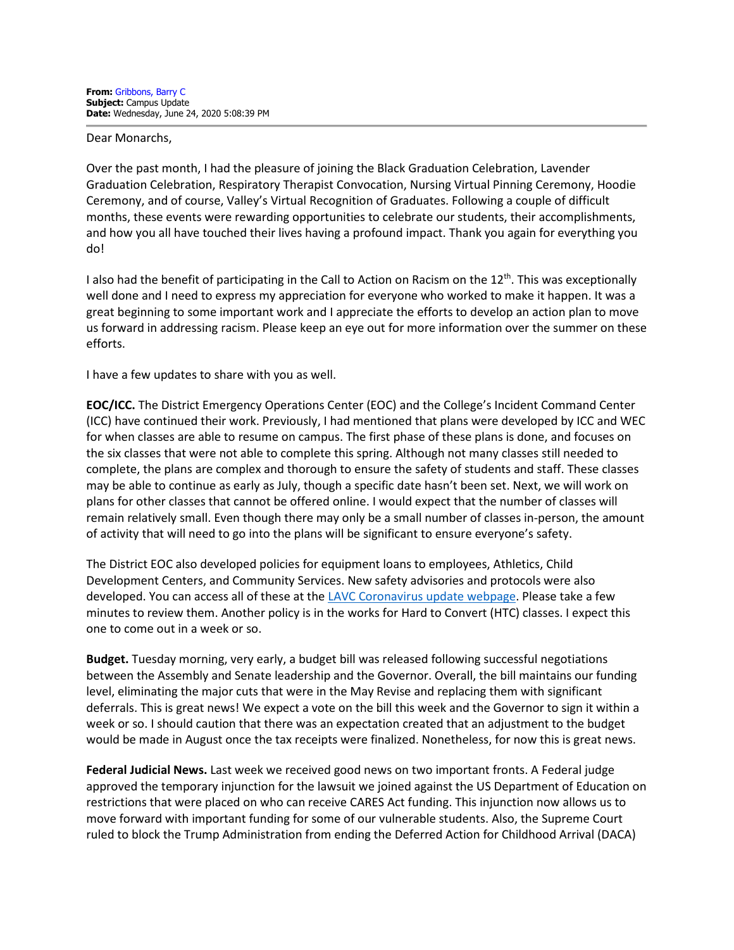Dear Monarchs,

Over the past month, I had the pleasure of joining the Black Graduation Celebration, Lavender Graduation Celebration, Respiratory Therapist Convocation, Nursing Virtual Pinning Ceremony, Hoodie Ceremony, and of course, Valley's Virtual Recognition of Graduates. Following a couple of difficult months, these events were rewarding opportunities to celebrate our students, their accomplishments, and how you all have touched their lives having a profound impact. Thank you again for everything you do!

I also had the benefit of participating in the Call to Action on Racism on the  $12<sup>th</sup>$ . This was exceptionally well done and I need to express my appreciation for everyone who worked to make it happen. It was a great beginning to some important work and I appreciate the efforts to develop an action plan to move us forward in addressing racism. Please keep an eye out for more information over the summer on these efforts.

I have a few updates to share with you as well.

**EOC/ICC.** The District Emergency Operations Center (EOC) and the College's Incident Command Center (ICC) have continued their work. Previously, I had mentioned that plans were developed by ICC and WEC for when classes are able to resume on campus. The first phase of these plans is done, and focuses on the six classes that were not able to complete this spring. Although not many classes still needed to complete, the plans are complex and thorough to ensure the safety of students and staff. These classes may be able to continue as early as July, though a specific date hasn't been set. Next, we will work on plans for other classes that cannot be offered online. I would expect that the number of classes will remain relatively small. Even though there may only be a small number of classes in-person, the amount of activity that will need to go into the plans will be significant to ensure everyone's safety.

The District EOC also developed policies for equipment loans to employees, Athletics, Child Development Centers, and Community Services. New safety advisories and protocols were also developed. You can access all of these at th[e LAVC Coronavirus update webpage.](https://www.lavc.edu/Coronavirus/Faculty-Updates.aspx) Please take a few minutes to review them. Another policy is in the works for Hard to Convert (HTC) classes. I expect this one to come out in a week or so.

**Budget.** Tuesday morning, very early, a budget bill was released following successful negotiations between the Assembly and Senate leadership and the Governor. Overall, the bill maintains our funding level, eliminating the major cuts that were in the May Revise and replacing them with significant deferrals. This is great news! We expect a vote on the bill this week and the Governor to sign it within a week or so. I should caution that there was an expectation created that an adjustment to the budget would be made in August once the tax receipts were finalized. Nonetheless, for now this is great news.

**Federal Judicial News.** Last week we received good news on two important fronts. A Federal judge approved the temporary injunction for the lawsuit we joined against the US Department of Education on restrictions that were placed on who can receive CARES Act funding. This injunction now allows us to move forward with important funding for some of our vulnerable students. Also, the Supreme Court ruled to block the Trump Administration from ending the Deferred Action for Childhood Arrival (DACA)